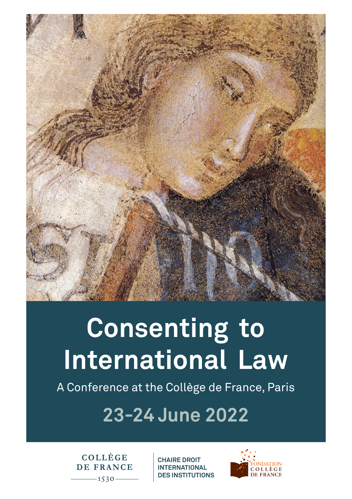

# **Consenting to International Law**

A Conference at the Collège de France, Paris

## **23-24 June 2022**

COLLÈGE DE FRANCE  $-1530-$ 

**CHAIRE DROIT INTERNATIONAL DES INSTITUTIONS**

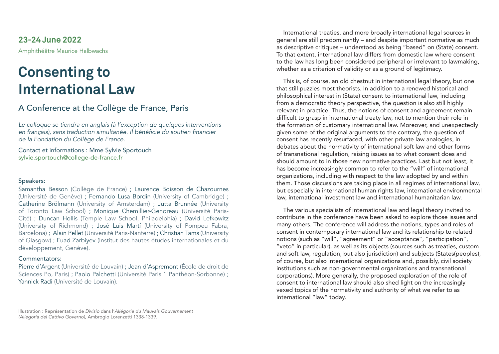**23-24 June 2022** Amphithéâtre Maurice Halbwachs

## **Consenting to International Law**

### A Conference at the Collège de France, Paris

*Le colloque se tiendra en anglais (à l'exception de quelques interventions*  en français), sans traduction simultanée. Il bénéficie du soutien financier *de la Fondation du Collège de France.*

Contact et informations : Mme Sylvie Sportouch sylvie.sportouch@college-de-france.fr

#### Speakers:

Samantha Besson (Collège de France) ; Laurence Boisson de Chazournes (Université de Genève) ; Fernando Lusa Bordin (University of Cambridge) ; Catherine Brölmann (University of Amsterdam) ; Jutta Brunnée (University of Toronto Law School) ; Monique Chemillier-Gendreau (Université Paris-Cité) ; Duncan Hollis (Temple Law School, Philadelphia) ; David Lefkowitz (University of Richmond) ; José Luis Martí (University of Pompeu Fabra, Barcelona) ; Alain Pellet (Université Paris-Nanterre) ; Christian Tams (University of Glasgow) ; Fuad Zarbiyev (Institut des hautes études internationales et du développement, Genève).

#### Commentators:

Pierre d'Argent (Université de Louvain) ; Jean d'Aspremont (École de droit de Sciences Po, Paris) ; Paolo Palchetti (Université Paris 1 Panthéon-Sorbonne) ; Yannick Radi (Université de Louvain).

International treaties, and more broadly international legal sources in general are still predominantly – and despite important normative as much as descriptive critiques – understood as being "based" on (State) consent. To that extent, international law differs from domestic law where consent to the law has long been considered peripheral or irrelevant to lawmaking, whether as a criterion of validity or as a ground of legitimacy.

This is, of course, an old chestnut in international legal theory, but one that still puzzles most theorists. In addition to a renewed historical and philosophical interest in (State) consent to international law, including from a democratic theory perspective, the question is also still highly relevant in practice. Thus, the notions of consent and agreement remain difficult to grasp in international treaty law, not to mention their role in the formation of customary international law. Moreover, and unexpectedly given some of the original arguments to the contrary, the question of consent has recently resurfaced, with other private law analogies, in debates about the normativity of international soft law and other forms of transnational regulation, raising issues as to what consent does and should amount to in those new normative practices. Last but not least, it has become increasingly common to refer to the "will" of international organizations, including with respect to the law adopted by and within them. Those discussions are taking place in all regimes of international law, but especially in international human rights law, international environmental law, international investment law and international humanitarian law.

The various specialists of international law and legal theory invited to contribute in the conference have been asked to explore those issues and many others. The conference will address the notions, types and roles of consent in contemporary international law and its relationship to related notions (such as "will", "agreement" or "acceptance", "participation", "veto" in particular), as well as its objects (sources such as treaties, custom and soft law, regulation, but also jurisdiction) and subjects (States(peoples), of course, but also international organizations and, possibly, civil society institutions such as non-governmental organizations and transnational corporations). More generally, the proposed exploration of the role of consent to international law should also shed light on the increasingly vexed topics of the normativity and authority of what we refer to as international "law" today.

Illustration : Représentation de *Divisio* dans l'*Allégorie du Mauvais Gouvernement (Allegoria del Cattivo Governo)*, Ambrogio Lorenzetti 1338-1339.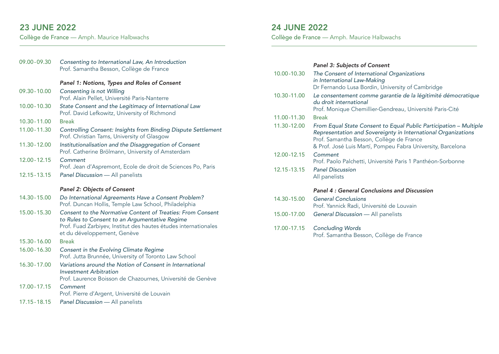### 23 JUNE 2022

Collège de France — Amph. Maurice Halbwachs

| 09.00-09.30     | Consenting to International Law, An Introduction<br>Prof. Samantha Besson, Collège de France                                                                                                                   |
|-----------------|----------------------------------------------------------------------------------------------------------------------------------------------------------------------------------------------------------------|
|                 | Panel 1: Notions, Types and Roles of Consent                                                                                                                                                                   |
| $09.30 - 10.00$ | <b>Consenting is not Willing</b><br>Prof. Alain Pellet, Université Paris-Nanterre                                                                                                                              |
| 10.00 - 10.30   | State Consent and the Legitimacy of International Law<br>Prof. David Lefkowitz, University of Richmond                                                                                                         |
| 10.30 - 11.00   | <b>Break</b>                                                                                                                                                                                                   |
| 11.00 - 11.30   | Controlling Consent: Insights from Binding Dispute Settlement<br>Prof. Christian Tams, University of Glasgow                                                                                                   |
| 11.30 - 12.00   | Institutionalisation and the Disaggregation of Consent<br>Prof. Catherine Brölmann, University of Amsterdam                                                                                                    |
| 12.00 - 12.15   | Comment<br>Prof. Jean d'Aspremont, Ecole de droit de Sciences Po, Paris                                                                                                                                        |
| 12.15 - 13.15   | Panel Discussion - All panelists                                                                                                                                                                               |
|                 |                                                                                                                                                                                                                |
|                 | Panel 2: Objects of Consent                                                                                                                                                                                    |
| 14.30 - 15.00   | Do International Agreements Have a Consent Problem?<br>Prof. Duncan Hollis, Temple Law School, Philadelphia                                                                                                    |
| 15.00 - 15.30   | Consent to the Normative Content of Treaties: From Consent<br>to Rules to Consent to an Argumentative Regime<br>Prof. Fuad Zarbiyev, Institut des hautes études internationales<br>et du développement, Genève |
| 15.30 - 16.00   | <b>Break</b>                                                                                                                                                                                                   |
| 16.00 - 16.30   | Consent in the Evolving Climate Regime<br>Prof. Jutta Brunnée, University of Toronto Law School                                                                                                                |
| 16.30 - 17.00   | Variations around the Notion of Consent in International<br><b>Investment Arbitration</b><br>Prof. Laurence Boisson de Chazournes, Université de Genève                                                        |
| 17.00 - 17.15   | Comment<br>Prof. Pierre d'Argent, Université de Louvain                                                                                                                                                        |

### 24 JUNE 2022

Collège de France — Amph. Maurice Halbwachs

#### *Panel 3: Subjects of Consent*

| 10.00-10.30   | The Consent of International Organizations<br>in International Law-Making<br>Dr Fernando Lusa Bordin, University of Cambridge                                                                                                                 |
|---------------|-----------------------------------------------------------------------------------------------------------------------------------------------------------------------------------------------------------------------------------------------|
| 10.30-11.00   | Le consentement comme garantie de la légitimité démocratique<br>du droit international<br>Prof. Monique Chemillier-Gendreau, Université Paris-Cité                                                                                            |
| 11.00 - 11.30 | <b>Break</b>                                                                                                                                                                                                                                  |
| 11.30-12.00   | From Equal State Consent to Equal Public Participation - Multiple<br>Representation and Sovereignty in International Organizations<br>Prof. Samantha Besson, Collège de France<br>& Prof. José Luis Martí, Pompeu Fabra University, Barcelona |
| 12.00-12.15   | Comment<br>Prof. Paolo Palchetti, Université Paris 1 Panthéon-Sorbonne                                                                                                                                                                        |
| 12.15 - 13.15 | <b>Panel Discussion</b><br>All panelists                                                                                                                                                                                                      |
|               | <b>Panel 4: General Conclusions and Discussion</b>                                                                                                                                                                                            |
| 14.30-15.00   | <b>General Conclusions</b><br>Prof. Yannick Radi, Université de Louvain                                                                                                                                                                       |
| 15.00-17.00   | <b>General Discussion</b> - All panelists                                                                                                                                                                                                     |
| 17.00-17.15   | <b>Concluding Words</b><br>Prof. Samantha Besson, Collège de France                                                                                                                                                                           |